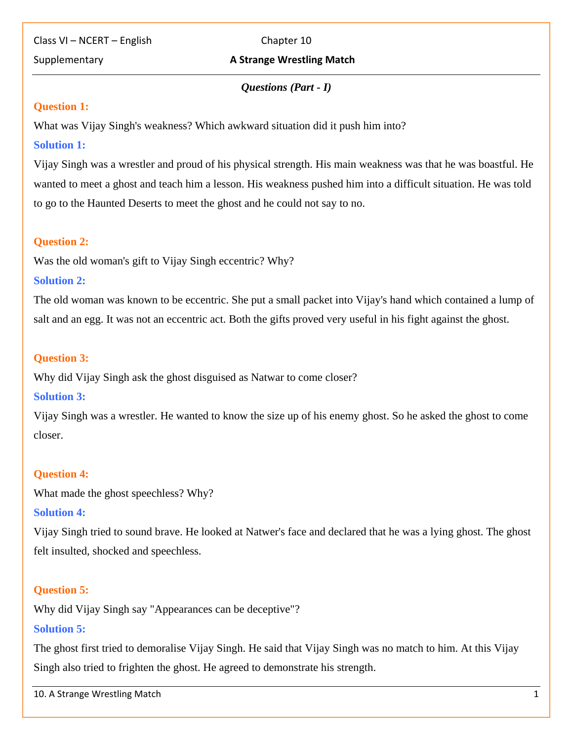Class VI – NCERT – English Chapter 10

## **Supplementary A Strange Wrestling Match**

#### *Questions (Part* **-** *I)*

#### **Question 1:**

What was Vijay Singh's weakness? Which awkward situation did it push him into?

### **Solution 1:**

Vijay Singh was a wrestler and proud of his physical strength. His main weakness was that he was boastful. He wanted to meet a ghost and teach him a lesson. His weakness pushed him into a difficult situation. He was told to go to the Haunted Deserts to meet the ghost and he could not say to no.

#### **Question 2:**

Was the old woman's gift to Vijay Singh eccentric? Why?

#### **Solution 2:**

The old woman was known to be eccentric. She put a small packet into Vijay's hand which contained a lump of salt and an egg. It was not an eccentric act. Both the gifts proved very useful in his fight against the ghost.

## **Question 3:**

Why did Vijay Singh ask the ghost disguised as Natwar to come closer?

## **Solution 3:**

Vijay Singh was a wrestler. He wanted to know the size up of his enemy ghost. So he asked the ghost to come closer.

## **Question 4:**

What made the ghost speechless? Why?

## **Solution 4:**

Vijay Singh tried to sound brave. He looked at Natwer's face and declared that he was a lying ghost. The ghost felt insulted, shocked and speechless.

## **Question 5:**

Why did Vijay Singh say "Appearances can be deceptive"?

## **Solution 5:**

The ghost first tried to demoralise Vijay Singh. He said that Vijay Singh was no match to him. At this Vijay Singh also tried to frighten the ghost. He agreed to demonstrate his strength.

10. A Strange Wrestling Match1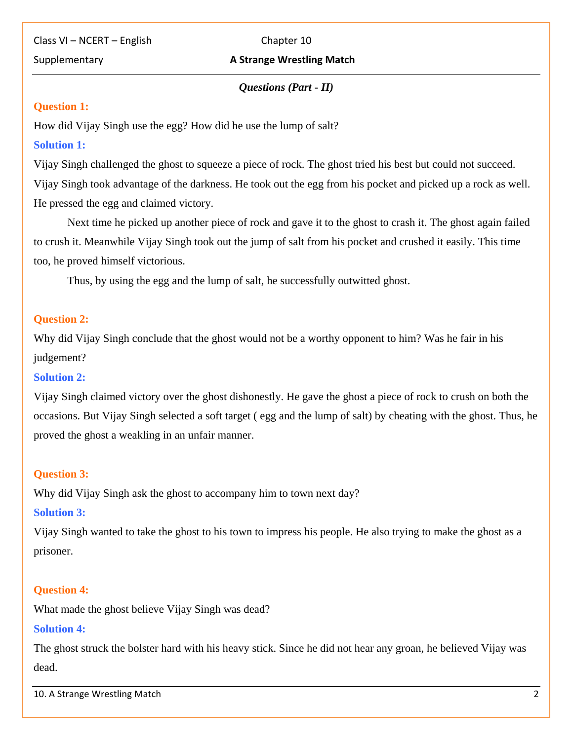#### **Supplementary A Strange Wrestling Match**

## *Questions (Part* **-** *II)*

#### **Question 1:**

How did Vijay Singh use the egg? How did he use the lump of salt?

# **Solution 1:**

Vijay Singh challenged the ghost to squeeze a piece of rock. The ghost tried his best but could not succeed. Vijay Singh took advantage of the darkness. He took out the egg from his pocket and picked up a rock as well. He pressed the egg and claimed victory.

Next time he picked up another piece of rock and gave it to the ghost to crash it. The ghost again failed to crush it. Meanwhile Vijay Singh took out the jump of salt from his pocket and crushed it easily. This time too, he proved himself victorious.

Thus, by using the egg and the lump of salt, he successfully outwitted ghost.

#### **Question 2:**

Why did Vijay Singh conclude that the ghost would not be a worthy opponent to him? Was he fair in his judgement?

#### **Solution 2:**

Vijay Singh claimed victory over the ghost dishonestly. He gave the ghost a piece of rock to crush on both the occasions. But Vijay Singh selected a soft target ( egg and the lump of salt) by cheating with the ghost. Thus, he proved the ghost a weakling in an unfair manner.

## **Question 3:**

Why did Vijay Singh ask the ghost to accompany him to town next day?

## **Solution 3:**

Vijay Singh wanted to take the ghost to his town to impress his people. He also trying to make the ghost as a prisoner.

## **Question 4:**

What made the ghost believe Vijay Singh was dead?

## **Solution 4:**

The ghost struck the bolster hard with his heavy stick. Since he did not hear any groan, he believed Vijay was dead.

10. A Strange Wrestling Match2